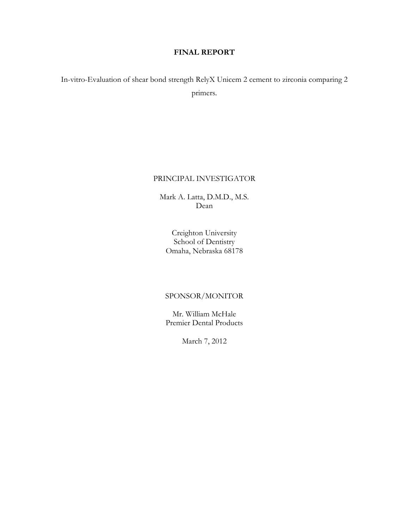# FINAL REPORT

In-vitro-Evaluation of shear bond strength RelyX Unicem 2 cement to zirconia comparing 2 primers.

### PRINCIPAL INVESTIGATOR

Mark A. Latta, D.M.D., M.S. Dean

Creighton University School of Dentistry Omaha, Nebraska 68178

## SPONSOR/MONITOR

Mr. William McHale Premier Dental Products

March 7, 2012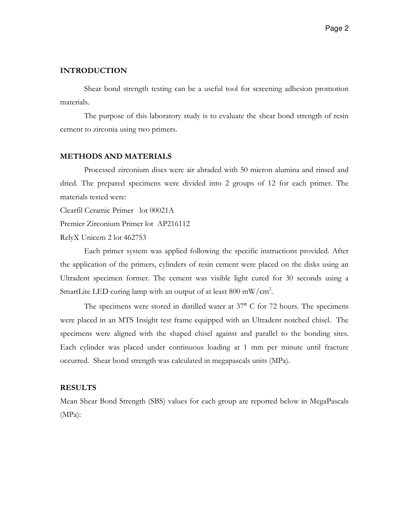### INTRODUCTION

Shear bond strength testing can be a useful tool for screening adhesion promotion materials.

The purpose of this laboratory study is to evaluate the shear bond strength of resin cement to zirconia using two primers.

#### METHODS AND MATERIALS

Processed zirconium discs were air abraded with 50 micron alumina and rinsed and dried. The prepared specimens were divided into 2 groups of 12 for each primer. The materials tested were:

Clearfil Ceramic Primer lot 00021A

Premier Zirconium Primer lot AP216112

RelyX Unicem 2 lot 462753

Each primer system was applied following the specific instructions provided. After the application of the primers, cylinders of resin cement were placed on the disks using an Ultradent specimen former. The cement was visible light cured for 30 seconds using a SmartLite LED curing lamp with an output of at least  $800 \text{ mW/cm}^2$ .

The specimens were stored in distilled water at 37° C for 72 hours. The specimens were placed in an MTS Insight test frame equipped with an Ultradent notched chisel. The specimens were aligned with the shaped chisel against and parallel to the bonding sites. Each cylinder was placed under continuous loading at 1 mm per minute until fracture occurred. Shear bond strength was calculated in megapascals units (MPa).

## RESULTS

Mean Shear Bond Strength (SBS) values for each group are reported below in MegaPascals (MPa):